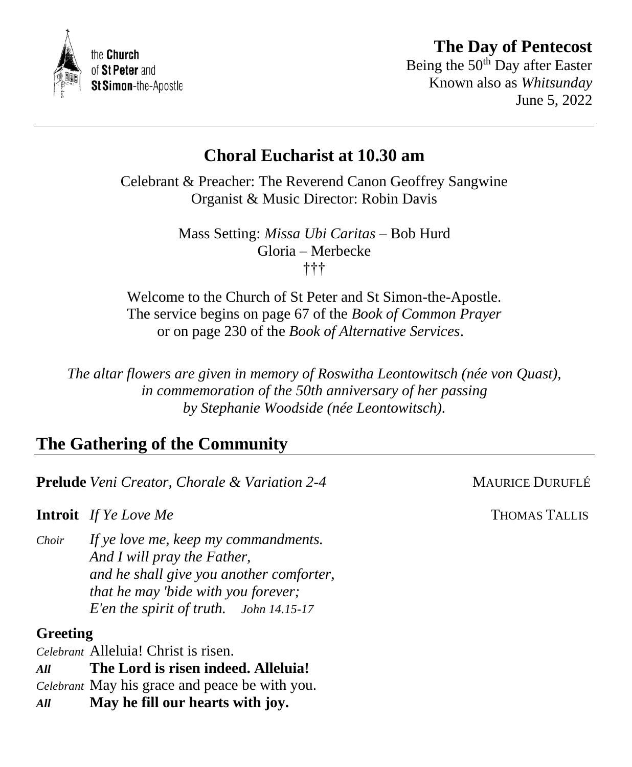



Being the 50<sup>th</sup> Day after Easter Known also as *Whitsunday* June 5, 2022

# **Choral Eucharist at 10.30 am**

Celebrant & Preacher: The Reverend Canon Geoffrey Sangwine Organist & Music Director: Robin Davis

> Mass Setting: *Missa Ubi Caritas* – Bob Hurd Gloria – Merbecke †††

Welcome to the Church of St Peter and St Simon-the-Apostle. The service begins on page 67 of the *Book of Common Prayer* or on page 230 of the *Book of Alternative Services*.

*The altar flowers are given in memory of Roswitha Leontowitsch (née von Quast), in commemoration of the 50th anniversary of her passing by Stephanie Woodside (née Leontowitsch).*

# **The Gathering of the Community**

**Prelude** *Veni Creator, Chorale & Variation 2-4* MAURICE DURUFLÉ

**Introit** *If Ye Love Me* **THOMAS TALLIS** 

*Choir If ye love me, keep my commandments. And I will pray the Father, and he shall give you another comforter, that he may 'bide with you forever; E'en the spirit of truth. John 14.15-17*

## **Greeting**

*Celebrant* Alleluia! Christ is risen.

*All* **The Lord is risen indeed. Alleluia!**

*Celebrant* May his grace and peace be with you.

*All* **May he fill our hearts with joy.**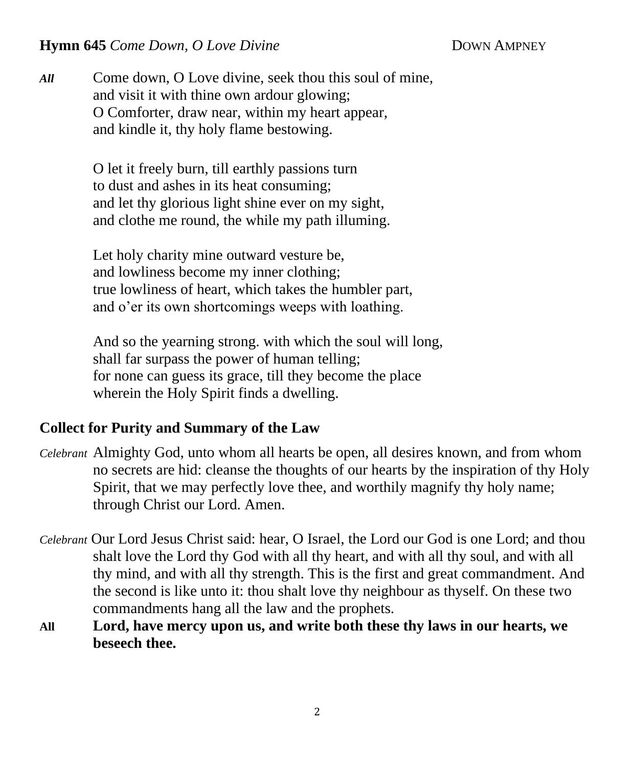### **Hymn 645** *Come Down, O Love Divine* **DOWN AMPNEY**

*All* Come down, O Love divine, seek thou this soul of mine, and visit it with thine own ardour glowing; O Comforter, draw near, within my heart appear, and kindle it, thy holy flame bestowing.

> O let it freely burn, till earthly passions turn to dust and ashes in its heat consuming; and let thy glorious light shine ever on my sight, and clothe me round, the while my path illuming.

Let holy charity mine outward vesture be, and lowliness become my inner clothing; true lowliness of heart, which takes the humbler part, and o'er its own shortcomings weeps with loathing.

And so the yearning strong. with which the soul will long, shall far surpass the power of human telling; for none can guess its grace, till they become the place wherein the Holy Spirit finds a dwelling.

### **Collect for Purity and Summary of the Law**

- *Celebrant* Almighty God, unto whom all hearts be open, all desires known, and from whom no secrets are hid: cleanse the thoughts of our hearts by the inspiration of thy Holy Spirit, that we may perfectly love thee, and worthily magnify thy holy name; through Christ our Lord. Amen.
- *Celebrant* Our Lord Jesus Christ said: hear, O Israel, the Lord our God is one Lord; and thou shalt love the Lord thy God with all thy heart, and with all thy soul, and with all thy mind, and with all thy strength. This is the first and great commandment. And the second is like unto it: thou shalt love thy neighbour as thyself. On these two commandments hang all the law and the prophets.
- **All Lord, have mercy upon us, and write both these thy laws in our hearts, we beseech thee.**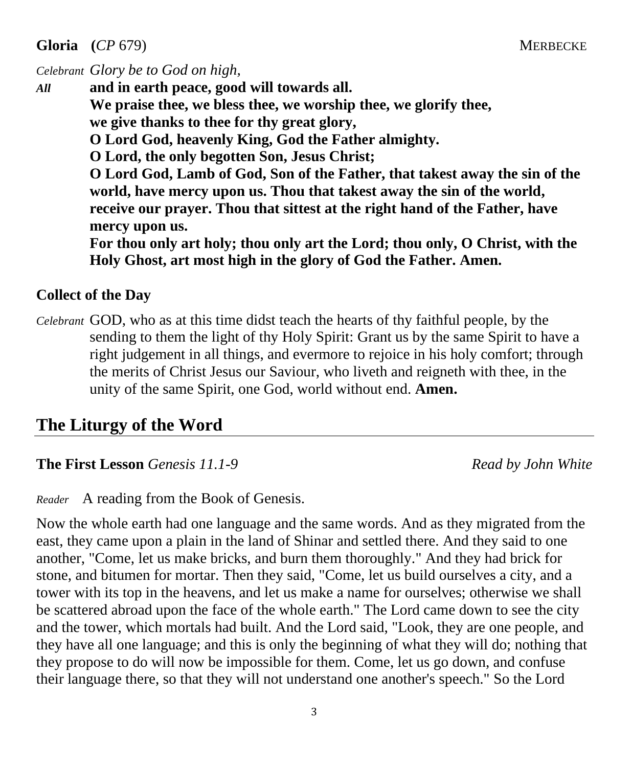**Gloria** (*CP* 679) MERBECKE

*Celebrant Glory be to God on high,* 

*All* **and in earth peace, good will towards all. We praise thee, we bless thee, we worship thee, we glorify thee, we give thanks to thee for thy great glory, O Lord God, heavenly King, God the Father almighty. O Lord, the only begotten Son, Jesus Christ; O Lord God, Lamb of God, Son of the Father, that takest away the sin of the world, have mercy upon us. Thou that takest away the sin of the world, receive our prayer. Thou that sittest at the right hand of the Father, have mercy upon us. For thou only art holy; thou only art the Lord; thou only, O Christ, with the** 

**Holy Ghost, art most high in the glory of God the Father. Amen.**

### **Collect of the Day**

*Celebrant* GOD, who as at this time didst teach the hearts of thy faithful people, by the sending to them the light of thy Holy Spirit: Grant us by the same Spirit to have a right judgement in all things, and evermore to rejoice in his holy comfort; through the merits of Christ Jesus our Saviour, who liveth and reigneth with thee, in the unity of the same Spirit, one God, world without end. **Amen.**

# **The Liturgy of the Word**

**The First Lesson** *Genesis 11.1-9 Read by John White*

*Reader* A reading from the Book of Genesis.

Now the whole earth had one language and the same words. And as they migrated from the east, they came upon a plain in the land of Shinar and settled there. And they said to one another, "Come, let us make bricks, and burn them thoroughly." And they had brick for stone, and bitumen for mortar. Then they said, "Come, let us build ourselves a city, and a tower with its top in the heavens, and let us make a name for ourselves; otherwise we shall be scattered abroad upon the face of the whole earth." The Lord came down to see the city and the tower, which mortals had built. And the Lord said, "Look, they are one people, and they have all one language; and this is only the beginning of what they will do; nothing that they propose to do will now be impossible for them. Come, let us go down, and confuse their language there, so that they will not understand one another's speech." So the Lord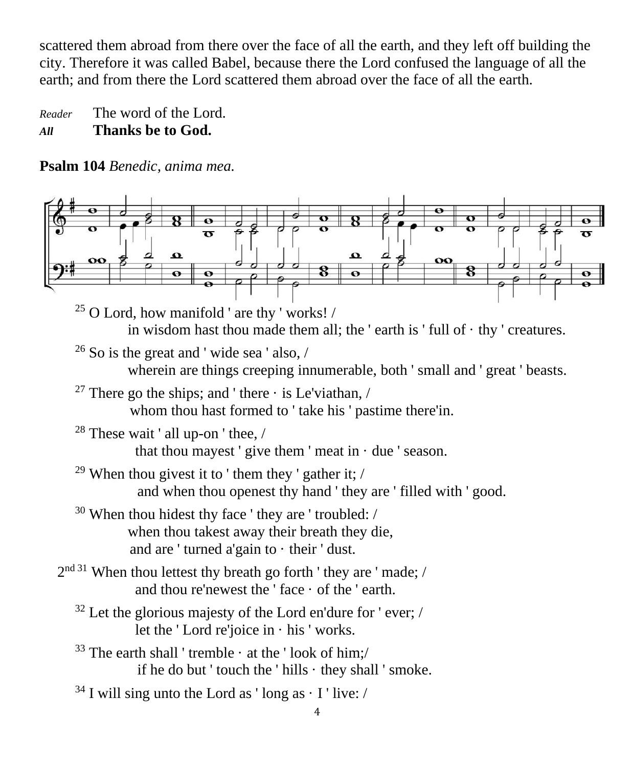scattered them abroad from there over the face of all the earth, and they left off building the city. Therefore it was called Babel, because there the Lord confused the language of all the earth; and from there the Lord scattered them abroad over the face of all the earth.

*Reader* The word of the Lord. *All* **Thanks be to God.**

**Psalm 104** *Benedic, anima mea.*

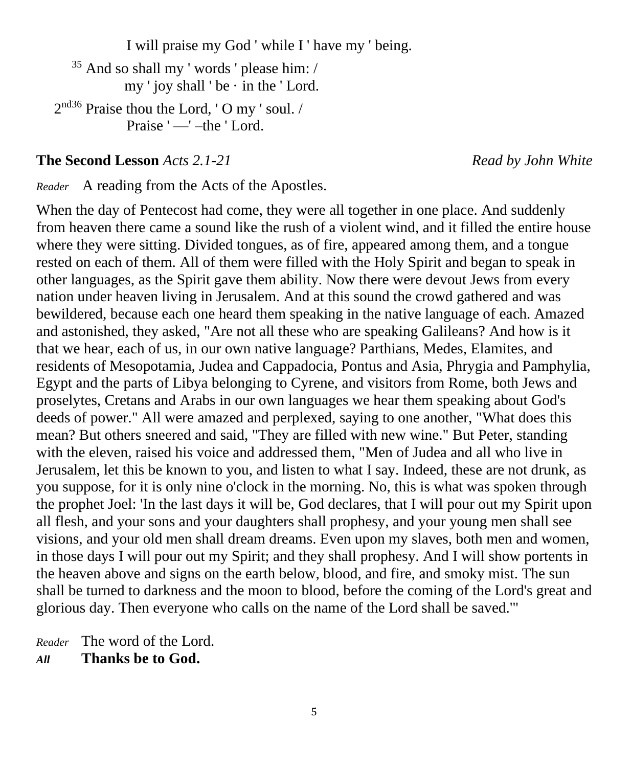I will praise my God ' while I ' have my ' being.

 $35$  And so shall my ' words ' please him: / my ' joy shall ' be  $\cdot$  in the ' Lord.  $2^{nd36}$  Praise thou the Lord, 'O my ' soul. /

Praise ' — ' – the ' Lord.

**The Second Lesson** *Acts 2.1-21 Read by John White* 

*Reader* A reading from the Acts of the Apostles.

When the day of Pentecost had come, they were all together in one place. And suddenly from heaven there came a sound like the rush of a violent wind, and it filled the entire house where they were sitting. Divided tongues, as of fire, appeared among them, and a tongue rested on each of them. All of them were filled with the Holy Spirit and began to speak in other languages, as the Spirit gave them ability. Now there were devout Jews from every nation under heaven living in Jerusalem. And at this sound the crowd gathered and was bewildered, because each one heard them speaking in the native language of each. Amazed and astonished, they asked, "Are not all these who are speaking Galileans? And how is it that we hear, each of us, in our own native language? Parthians, Medes, Elamites, and residents of Mesopotamia, Judea and Cappadocia, Pontus and Asia, Phrygia and Pamphylia, Egypt and the parts of Libya belonging to Cyrene, and visitors from Rome, both Jews and proselytes, Cretans and Arabs in our own languages we hear them speaking about God's deeds of power." All were amazed and perplexed, saying to one another, "What does this mean? But others sneered and said, "They are filled with new wine." But Peter, standing with the eleven, raised his voice and addressed them, "Men of Judea and all who live in Jerusalem, let this be known to you, and listen to what I say. Indeed, these are not drunk, as you suppose, for it is only nine o'clock in the morning. No, this is what was spoken through the prophet Joel: 'In the last days it will be, God declares, that I will pour out my Spirit upon all flesh, and your sons and your daughters shall prophesy, and your young men shall see visions, and your old men shall dream dreams. Even upon my slaves, both men and women, in those days I will pour out my Spirit; and they shall prophesy. And I will show portents in the heaven above and signs on the earth below, blood, and fire, and smoky mist. The sun shall be turned to darkness and the moon to blood, before the coming of the Lord's great and glorious day. Then everyone who calls on the name of the Lord shall be saved.'"

*Reader* The word of the Lord. *All* **Thanks be to God.**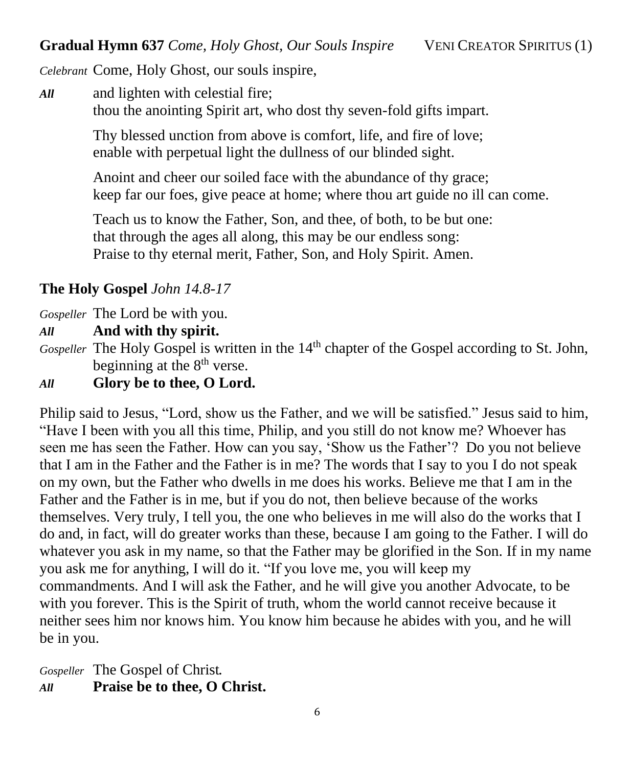*Celebrant* Come, Holy Ghost, our souls inspire,

*All* and lighten with celestial fire; thou the anointing Spirit art, who dost thy seven-fold gifts impart.

> Thy blessed unction from above is comfort, life, and fire of love; enable with perpetual light the dullness of our blinded sight.

Anoint and cheer our soiled face with the abundance of thy grace; keep far our foes, give peace at home; where thou art guide no ill can come.

Teach us to know the Father, Son, and thee, of both, to be but one: that through the ages all along, this may be our endless song: Praise to thy eternal merit, Father, Son, and Holy Spirit. Amen.

# **The Holy Gospel** *John 14.8-17*

*Gospeller* The Lord be with you.

*All* **And with thy spirit.**

*Gospeller* The Holy Gospel is written in the 14<sup>th</sup> chapter of the Gospel according to St. John, beginning at the 8<sup>th</sup> verse.

*All* **Glory be to thee, O Lord.**

Philip said to Jesus, "Lord, show us the Father, and we will be satisfied." Jesus said to him, "Have I been with you all this time, Philip, and you still do not know me? Whoever has seen me has seen the Father. How can you say, 'Show us the Father'? Do you not believe that I am in the Father and the Father is in me? The words that I say to you I do not speak on my own, but the Father who dwells in me does his works. Believe me that I am in the Father and the Father is in me, but if you do not, then believe because of the works themselves. Very truly, I tell you, the one who believes in me will also do the works that I do and, in fact, will do greater works than these, because I am going to the Father. I will do whatever you ask in my name, so that the Father may be glorified in the Son. If in my name you ask me for anything, I will do it. "If you love me, you will keep my commandments. And I will ask the Father, and he will give you another Advocate, to be with you forever. This is the Spirit of truth, whom the world cannot receive because it neither sees him nor knows him. You know him because he abides with you, and he will be in you.

*Gospeller* The Gospel of Christ*. All* **Praise be to thee, O Christ.**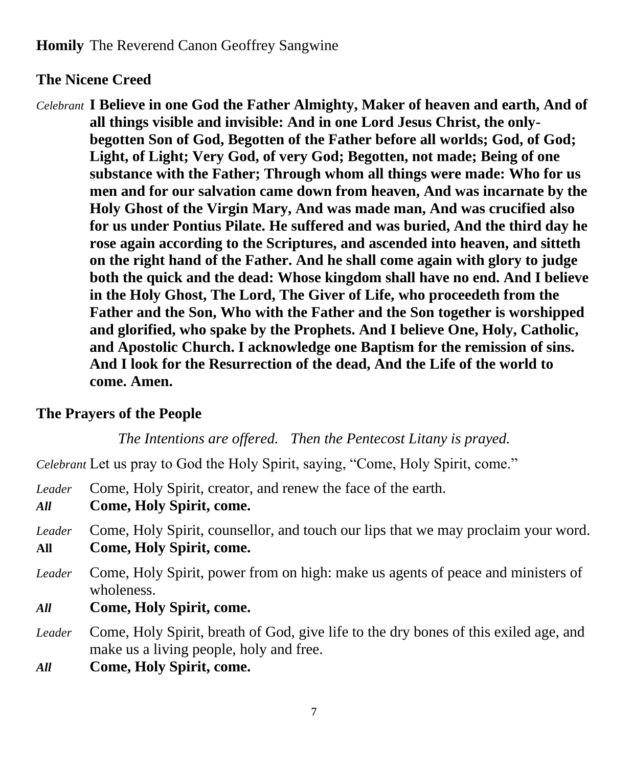### **The Nicene Creed**

*Celebrant* **I Believe in one God the Father Almighty, Maker of heaven and earth, And of all things visible and invisible: And in one Lord Jesus Christ, the onlybegotten Son of God, Begotten of the Father before all worlds; God, of God; Light, of Light; Very God, of very God; Begotten, not made; Being of one substance with the Father; Through whom all things were made: Who for us men and for our salvation came down from heaven, And was incarnate by the Holy Ghost of the Virgin Mary, And was made man, And was crucified also for us under Pontius Pilate. He suffered and was buried, And the third day he rose again according to the Scriptures, and ascended into heaven, and sitteth on the right hand of the Father. And he shall come again with glory to judge both the quick and the dead: Whose kingdom shall have no end. And I believe in the Holy Ghost, The Lord, The Giver of Life, who proceedeth from the Father and the Son, Who with the Father and the Son together is worshipped and glorified, who spake by the Prophets. And I believe One, Holy, Catholic, and Apostolic Church. I acknowledge one Baptism for the remission of sins. And I look for the Resurrection of the dead, And the Life of the world to come. Amen.**

### **The Prayers of the People**

*The Intentions are offered. Then the Pentecost Litany is prayed.*

*Celebrant* Let us pray to God the Holy Spirit, saying, "Come, Holy Spirit, come."

*Leader* Come, Holy Spirit, creator, and renew the face of the earth.

- *All* **Come, Holy Spirit, come.**
- *Leader* Come, Holy Spirit, counsellor, and touch our lips that we may proclaim your word. **All Come, Holy Spirit, come.**
- *Leader* Come, Holy Spirit, power from on high: make us agents of peace and ministers of wholeness.
- *All* **Come, Holy Spirit, come.**
- *Leader* Come, Holy Spirit, breath of God, give life to the dry bones of this exiled age, and make us a living people, holy and free.
- *All* **Come, Holy Spirit, come.**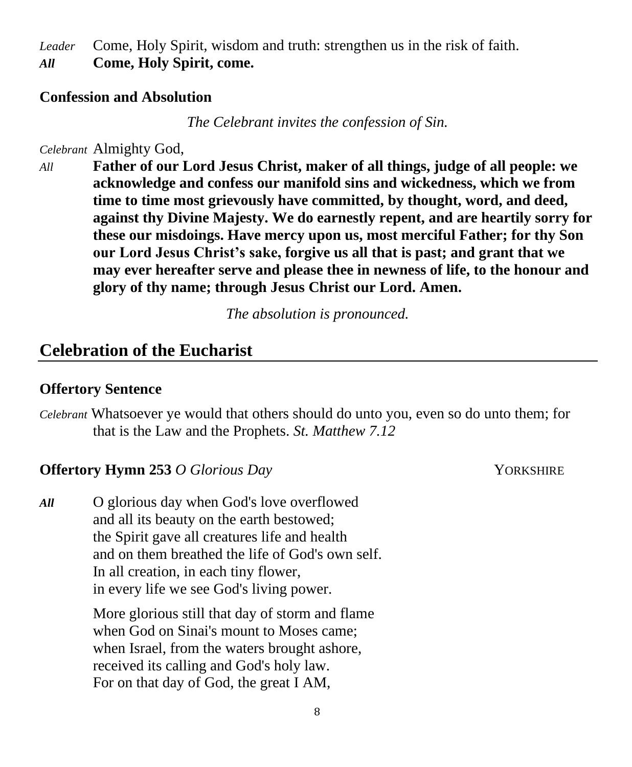*Leader* Come, Holy Spirit, wisdom and truth: strengthen us in the risk of faith. *All* **Come, Holy Spirit, come.**

### **Confession and Absolution**

*The Celebrant invites the confession of Sin.*

*Celebrant* Almighty God,

*All* **Father of our Lord Jesus Christ, maker of all things, judge of all people: we acknowledge and confess our manifold sins and wickedness, which we from time to time most grievously have committed, by thought, word, and deed, against thy Divine Majesty. We do earnestly repent, and are heartily sorry for these our misdoings. Have mercy upon us, most merciful Father; for thy Son our Lord Jesus Christ's sake, forgive us all that is past; and grant that we may ever hereafter serve and please thee in newness of life, to the honour and glory of thy name; through Jesus Christ our Lord. Amen.**

*The absolution is pronounced.*

## **Celebration of the Eucharist**

### **Offertory Sentence**

*Celebrant* Whatsoever ye would that others should do unto you, even so do unto them; for that is the Law and the Prophets. *St. Matthew 7.12*

### **Offertory Hymn 253** *O Glorious Day* **YORKSHIRE**

*All* O glorious day when God's love overflowed and all its beauty on the earth bestowed; the Spirit gave all creatures life and health and on them breathed the life of God's own self. In all creation, in each tiny flower, in every life we see God's living power.

> More glorious still that day of storm and flame when God on Sinai's mount to Moses came; when Israel, from the waters brought ashore, received its calling and God's holy law. For on that day of God, the great I AM,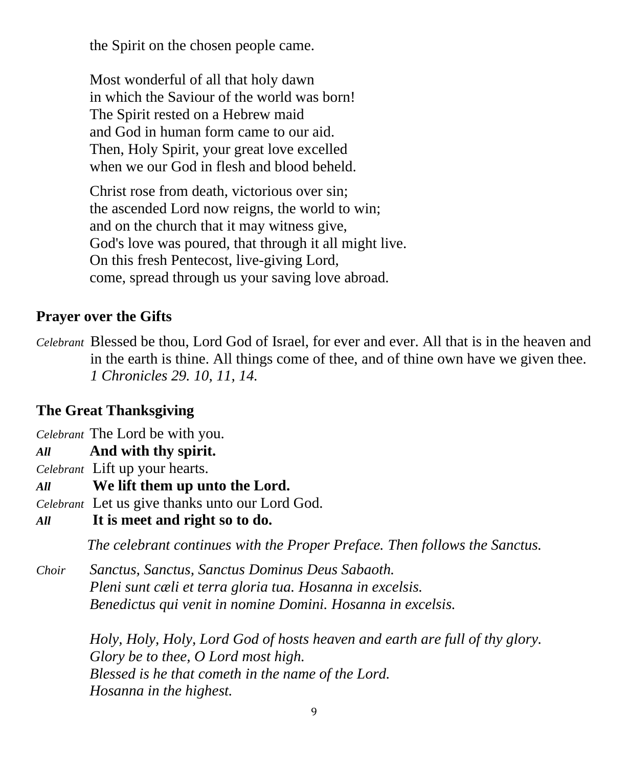the Spirit on the chosen people came.

Most wonderful of all that holy dawn in which the Saviour of the world was born! The Spirit rested on a Hebrew maid and God in human form came to our aid. Then, Holy Spirit, your great love excelled when we our God in flesh and blood beheld.

Christ rose from death, victorious over sin; the ascended Lord now reigns, the world to win; and on the church that it may witness give, God's love was poured, that through it all might live. On this fresh Pentecost, live-giving Lord, come, spread through us your saving love abroad.

## **Prayer over the Gifts**

*Celebrant* Blessed be thou, Lord God of Israel, for ever and ever. All that is in the heaven and in the earth is thine. All things come of thee, and of thine own have we given thee. *1 Chronicles 29. 10, 11, 14.*

### **The Great Thanksgiving**

*Celebrant* The Lord be with you.

- *All* **And with thy spirit.**
- *Celebrant* Lift up your hearts.
- *All* **We lift them up unto the Lord.**

*Celebrant* Let us give thanks unto our Lord God.

*All* **It is meet and right so to do.**

*The celebrant continues with the Proper Preface. Then follows the Sanctus.*

*Choir Sanctus, Sanctus, Sanctus Dominus Deus Sabaoth. Pleni sunt cæli et terra gloria tua. Hosanna in excelsis. Benedictus qui venit in nomine Domini. Hosanna in excelsis.*

> *Holy, Holy, Holy, Lord God of hosts heaven and earth are full of thy glory. Glory be to thee, O Lord most high. Blessed is he that cometh in the name of the Lord. Hosanna in the highest.*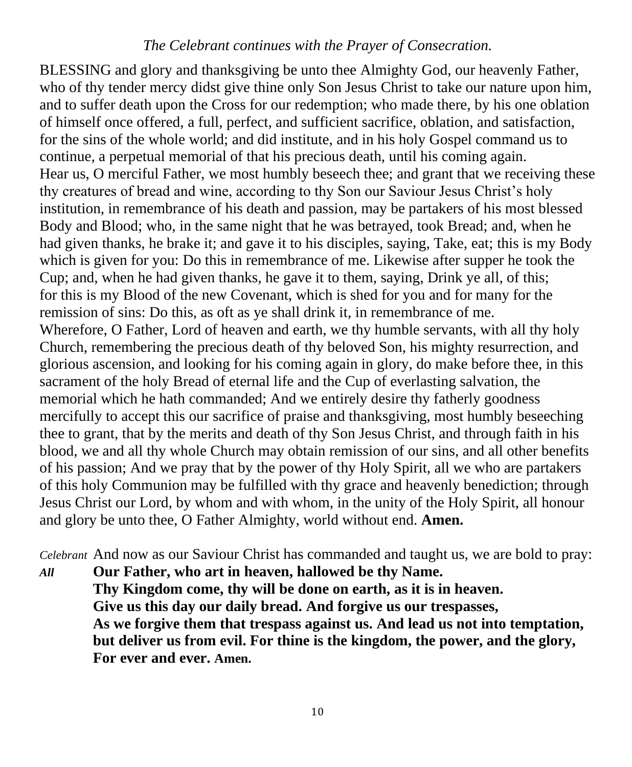### *The Celebrant continues with the Prayer of Consecration.*

BLESSING and glory and thanksgiving be unto thee Almighty God, our heavenly Father, who of thy tender mercy didst give thine only Son Jesus Christ to take our nature upon him, and to suffer death upon the Cross for our redemption; who made there, by his one oblation of himself once offered, a full, perfect, and sufficient sacrifice, oblation, and satisfaction, for the sins of the whole world; and did institute, and in his holy Gospel command us to continue, a perpetual memorial of that his precious death, until his coming again. Hear us, O merciful Father, we most humbly beseech thee; and grant that we receiving these thy creatures of bread and wine, according to thy Son our Saviour Jesus Christ's holy institution, in remembrance of his death and passion, may be partakers of his most blessed Body and Blood; who, in the same night that he was betrayed, took Bread; and, when he had given thanks, he brake it; and gave it to his disciples, saying, Take, eat; this is my Body which is given for you: Do this in remembrance of me. Likewise after supper he took the Cup; and, when he had given thanks, he gave it to them, saying, Drink ye all, of this; for this is my Blood of the new Covenant, which is shed for you and for many for the remission of sins: Do this, as oft as ye shall drink it, in remembrance of me. Wherefore, O Father, Lord of heaven and earth, we thy humble servants, with all thy holy Church, remembering the precious death of thy beloved Son, his mighty resurrection, and glorious ascension, and looking for his coming again in glory, do make before thee, in this sacrament of the holy Bread of eternal life and the Cup of everlasting salvation, the memorial which he hath commanded; And we entirely desire thy fatherly goodness mercifully to accept this our sacrifice of praise and thanksgiving, most humbly beseeching thee to grant, that by the merits and death of thy Son Jesus Christ, and through faith in his blood, we and all thy whole Church may obtain remission of our sins, and all other benefits of his passion; And we pray that by the power of thy Holy Spirit, all we who are partakers of this holy Communion may be fulfilled with thy grace and heavenly benediction; through Jesus Christ our Lord, by whom and with whom, in the unity of the Holy Spirit, all honour and glory be unto thee, O Father Almighty, world without end. **Amen.**

*Celebrant* And now as our Saviour Christ has commanded and taught us, we are bold to pray:

*All* **Our Father, who art in heaven, hallowed be thy Name. Thy Kingdom come, thy will be done on earth, as it is in heaven. Give us this day our daily bread. And forgive us our trespasses, As we forgive them that trespass against us. And lead us not into temptation, but deliver us from evil. For thine is the kingdom, the power, and the glory, For ever and ever. Amen.**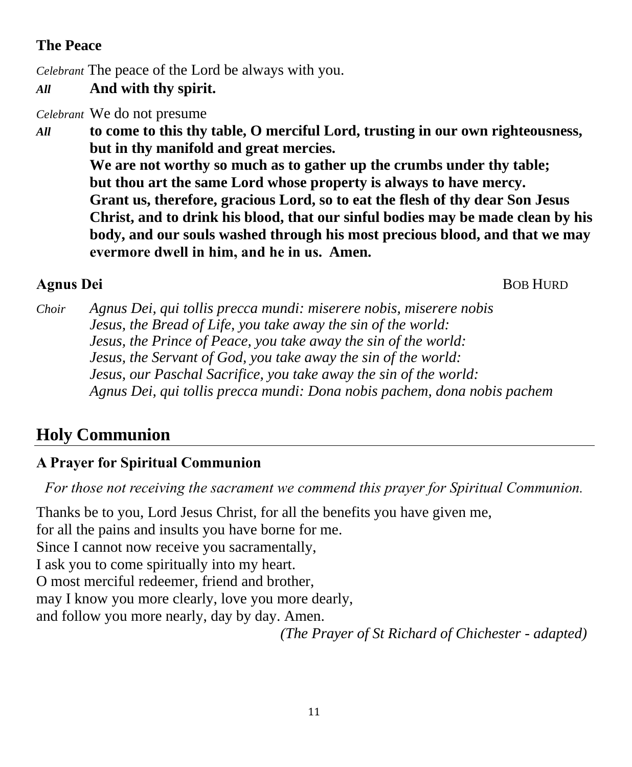# **The Peace**

*Celebrant* The peace of the Lord be always with you.

## *All* **And with thy spirit.**

*Celebrant* We do not presume

*All* **to come to this thy table, O merciful Lord, trusting in our own righteousness, but in thy manifold and great mercies. We are not worthy so much as to gather up the crumbs under thy table; but thou art the same Lord whose property is always to have mercy. Grant us, therefore, gracious Lord, so to eat the flesh of thy dear Son Jesus Christ, and to drink his blood, that our sinful bodies may be made clean by his body, and our souls washed through his most precious blood, and that we may evermore dwell in him, and he in us.  Amen.**

**Agnus Dei BOB HURD** 

*Choir Agnus Dei, qui tollis precca mundi: miserere nobis, miserere nobis Jesus, the Bread of Life, you take away the sin of the world: Jesus, the Prince of Peace, you take away the sin of the world: Jesus, the Servant of God, you take away the sin of the world: Jesus, our Paschal Sacrifice, you take away the sin of the world: Agnus Dei, qui tollis precca mundi: Dona nobis pachem, dona nobis pachem*

# **Holy Communion**

# **A Prayer for Spiritual Communion**

*For those not receiving the sacrament we commend this prayer for Spiritual Communion.*

Thanks be to you, Lord Jesus Christ, for all the benefits you have given me, for all the pains and insults you have borne for me. Since I cannot now receive you sacramentally, I ask you to come spiritually into my heart. O most merciful redeemer, friend and brother, may I know you more clearly, love you more dearly, and follow you more nearly, day by day. Amen. *(The Prayer of St Richard of Chichester - adapted)*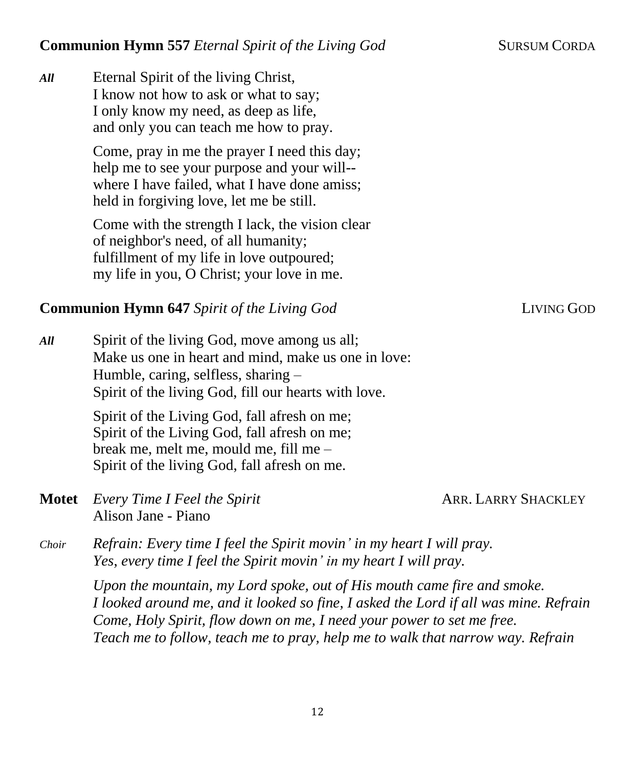*All* Eternal Spirit of the living Christ, I know not how to ask or what to say; I only know my need, as deep as life, and only you can teach me how to pray.

> Come, pray in me the prayer I need this day; help me to see your purpose and your will- where I have failed, what I have done amiss: held in forgiving love, let me be still.

Come with the strength I lack, the vision clear of neighbor's need, of all humanity; fulfillment of my life in love outpoured; my life in you, O Christ; your love in me.

### **Communion Hymn 647** *Spirit of the Living God* LIVING **LIVING GOD**

*All* Spirit of the living God, move among us all; Make us one in heart and mind, make us one in love: Humble, caring, selfless, sharing – Spirit of the living God, fill our hearts with love.

> Spirit of the Living God, fall afresh on me; Spirit of the Living God, fall afresh on me; break me, melt me, mould me, fill me – Spirit of the living God, fall afresh on me.

**Motet** *Every Time I Feel the Spirit* **ARR. LARRY SHACKLEY** Alison Jane - Piano

*Choir Refrain: Every time I feel the Spirit movin' in my heart I will pray. Yes, every time I feel the Spirit movin' in my heart I will pray.*

> *Upon the mountain, my Lord spoke, out of His mouth came fire and smoke. I looked around me, and it looked so fine, I asked the Lord if all was mine. Refrain Come, Holy Spirit, flow down on me, I need your power to set me free. Teach me to follow, teach me to pray, help me to walk that narrow way. Refrain*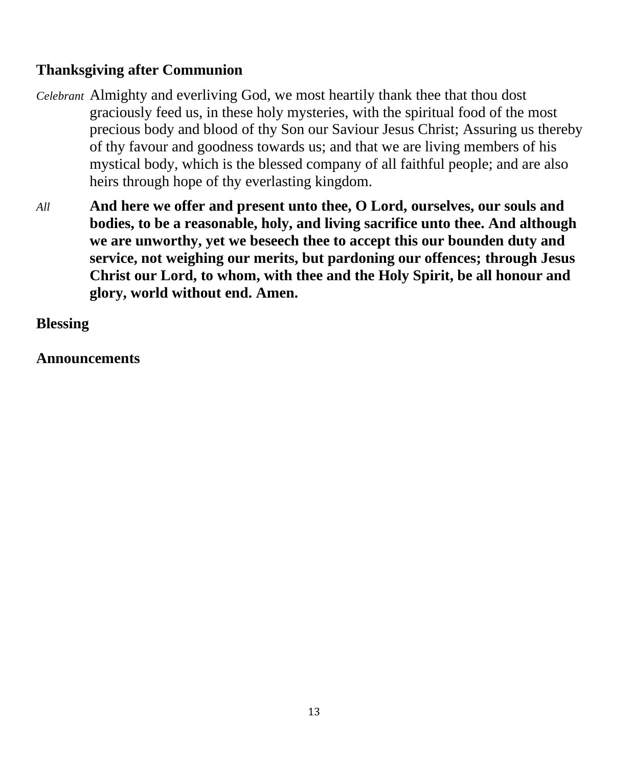## **Thanksgiving after Communion**

- *Celebrant* Almighty and everliving God, we most heartily thank thee that thou dost graciously feed us, in these holy mysteries, with the spiritual food of the most precious body and blood of thy Son our Saviour Jesus Christ; Assuring us thereby of thy favour and goodness towards us; and that we are living members of his mystical body, which is the blessed company of all faithful people; and are also heirs through hope of thy everlasting kingdom.
- *All* **And here we offer and present unto thee, O Lord, ourselves, our souls and bodies, to be a reasonable, holy, and living sacrifice unto thee. And although we are unworthy, yet we beseech thee to accept this our bounden duty and service, not weighing our merits, but pardoning our offences; through Jesus Christ our Lord, to whom, with thee and the Holy Spirit, be all honour and glory, world without end. Amen.**

## **Blessing**

### **Announcements**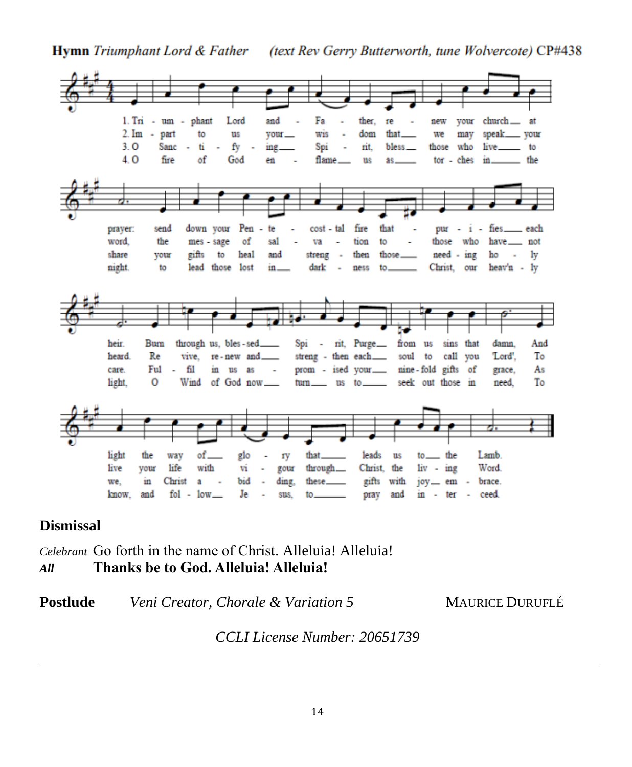**Hymn** Triumphant Lord & Father (text Rev Gerry Butterworth, tune Wolvercote) CP#438



### **Dismissal**

*Celebrant* Go forth in the name of Christ. Alleluia! Alleluia! *All* **Thanks be to God. Alleluia! Alleluia!**

**Postlude** *Veni Creator, Chorale & Variation 5* MAURICE DURUFLÉ

*CCLI License Number: 20651739*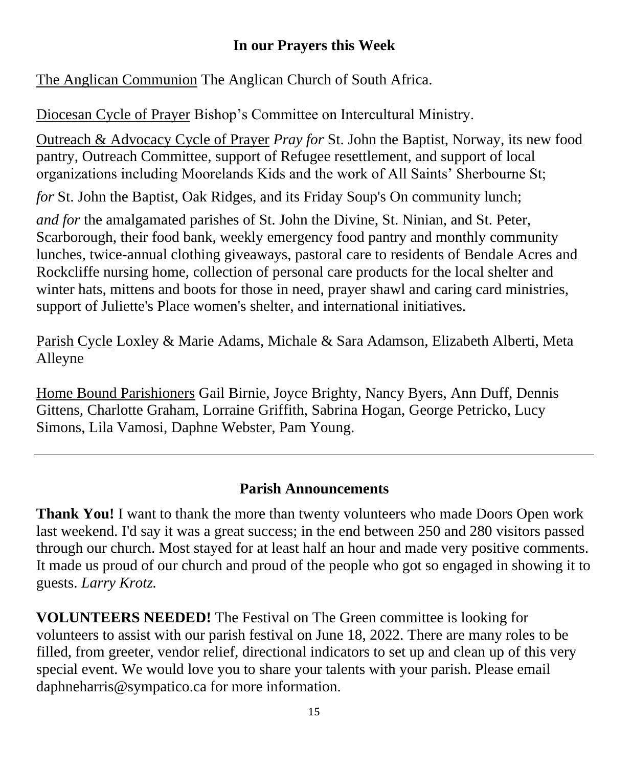# **In our Prayers this Week**

The Anglican Communion The Anglican Church of South Africa.

Diocesan Cycle of Prayer Bishop's Committee on Intercultural Ministry.

Outreach & Advocacy Cycle of Prayer *Pray for* St. John the Baptist, Norway, its new food pantry, Outreach Committee, support of Refugee resettlement, and support of local organizations including Moorelands Kids and the work of All Saints' Sherbourne St;

*for* St. John the Baptist, Oak Ridges, and its Friday Soup's On community lunch;

*and for* the amalgamated parishes of St. John the Divine, St. Ninian, and St. Peter, Scarborough, their food bank, weekly emergency food pantry and monthly community lunches, twice-annual clothing giveaways, pastoral care to residents of Bendale Acres and Rockcliffe nursing home, collection of personal care products for the local shelter and winter hats, mittens and boots for those in need, prayer shawl and caring card ministries, support of Juliette's Place women's shelter, and international initiatives.

Parish Cycle Loxley & Marie Adams, Michale & Sara Adamson, Elizabeth Alberti, Meta Alleyne

Home Bound Parishioners Gail Birnie, Joyce Brighty, Nancy Byers, Ann Duff, Dennis Gittens, Charlotte Graham, Lorraine Griffith, Sabrina Hogan, George Petricko, Lucy Simons, Lila Vamosi, Daphne Webster, Pam Young.

# **Parish Announcements**

**Thank You!** I want to thank the more than twenty volunteers who made Doors Open work last weekend. I'd say it was a great success; in the end between 250 and 280 visitors passed through our church. Most stayed for at least half an hour and made very positive comments. It made us proud of our church and proud of the people who got so engaged in showing it to guests. *Larry Krotz.*

**VOLUNTEERS NEEDED!** The Festival on The Green committee is looking for volunteers to assist with our parish festival on June 18, 2022. There are many roles to be filled, from greeter, vendor relief, directional indicators to set up and clean up of this very special event. We would love you to share your talents with your parish. Please email daphneharris@sympatico.ca for more information.